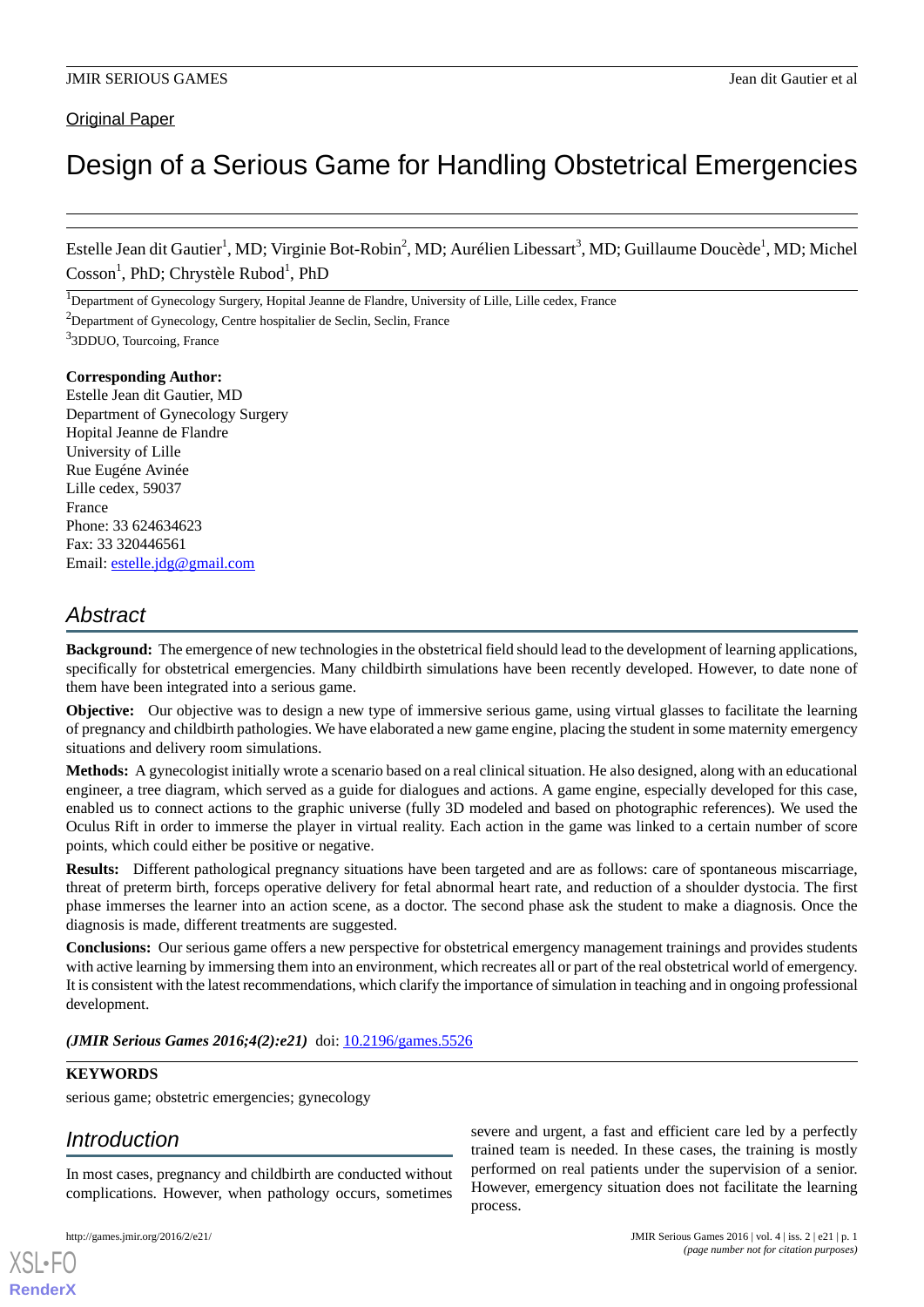### **Original Paper**

# Design of a Serious Game for Handling Obstetrical Emergencies

Estelle Jean dit Gautier<sup>1</sup>, MD; Virginie Bot-Robin<sup>2</sup>, MD; Aurélien Libessart<sup>3</sup>, MD; Guillaume Doucède<sup>1</sup>, MD; Michel Cosson<sup>1</sup>, PhD; Chrystèle Rubod<sup>1</sup>, PhD

<sup>1</sup>Department of Gynecology Surgery, Hopital Jeanne de Flandre, University of Lille, Lille cedex, France

#### **Corresponding Author:**

Estelle Jean dit Gautier, MD Department of Gynecology Surgery Hopital Jeanne de Flandre University of Lille Rue Eugéne Avinée Lille cedex, 59037 France Phone: 33 624634623 Fax: 33 320446561 Email: [estelle.jdg@gmail.com](mailto:estelle.jdg@gmail.com)

## *Abstract*

**Background:** The emergence of new technologies in the obstetrical field should lead to the development of learning applications, specifically for obstetrical emergencies. Many childbirth simulations have been recently developed. However, to date none of them have been integrated into a serious game.

**Objective:** Our objective was to design a new type of immersive serious game, using virtual glasses to facilitate the learning of pregnancy and childbirth pathologies. We have elaborated a new game engine, placing the student in some maternity emergency situations and delivery room simulations.

**Methods:** A gynecologist initially wrote a scenario based on a real clinical situation. He also designed, along with an educational engineer, a tree diagram, which served as a guide for dialogues and actions. A game engine, especially developed for this case, enabled us to connect actions to the graphic universe (fully 3D modeled and based on photographic references). We used the Oculus Rift in order to immerse the player in virtual reality. Each action in the game was linked to a certain number of score points, which could either be positive or negative.

**Results:** Different pathological pregnancy situations have been targeted and are as follows: care of spontaneous miscarriage, threat of preterm birth, forceps operative delivery for fetal abnormal heart rate, and reduction of a shoulder dystocia. The first phase immerses the learner into an action scene, as a doctor. The second phase ask the student to make a diagnosis. Once the diagnosis is made, different treatments are suggested.

**Conclusions:** Our serious game offers a new perspective for obstetrical emergency management trainings and provides students with active learning by immersing them into an environment, which recreates all or part of the real obstetrical world of emergency. It is consistent with the latest recommendations, which clarify the importance of simulation in teaching and in ongoing professional development.

(JMIR Serious Games 2016;4(2):e21) doi: [10.2196/games.5526](http://dx.doi.org/10.2196/games.5526)

#### **KEYWORDS**

serious game; obstetric emergencies; gynecology

## *Introduction*

In most cases, pregnancy and childbirth are conducted without complications. However, when pathology occurs, sometimes

[XSL](http://www.w3.org/Style/XSL)•FO **[RenderX](http://www.renderx.com/)**

severe and urgent, a fast and efficient care led by a perfectly trained team is needed. In these cases, the training is mostly performed on real patients under the supervision of a senior. However, emergency situation does not facilitate the learning process.

<sup>&</sup>lt;sup>2</sup>Department of Gynecology, Centre hospitalier de Seclin, Seclin, France

<sup>&</sup>lt;sup>3</sup>3DDUO, Tourcoing, France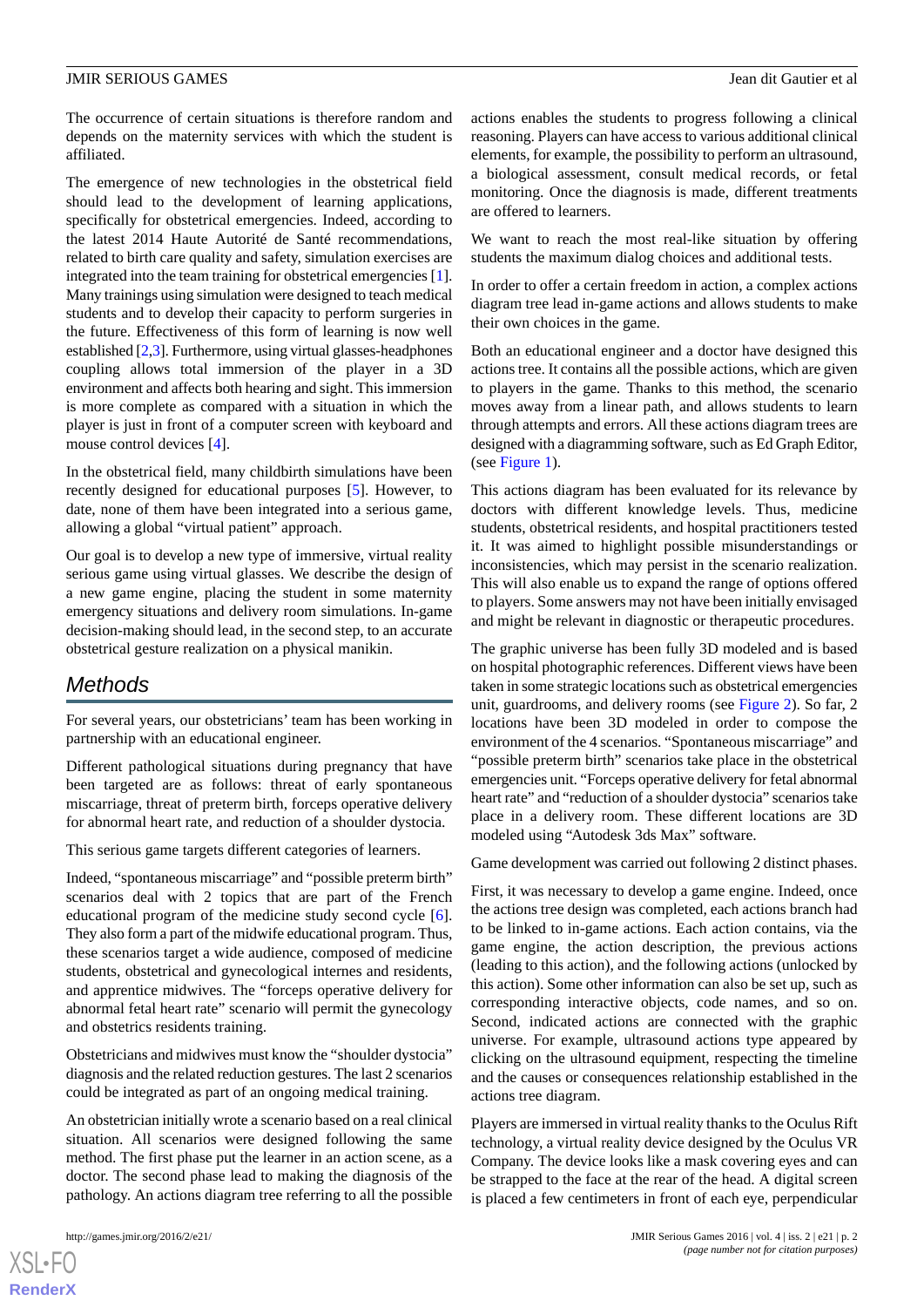The occurrence of certain situations is therefore random and depends on the maternity services with which the student is affiliated.

The emergence of new technologies in the obstetrical field should lead to the development of learning applications, specifically for obstetrical emergencies. Indeed, according to the latest 2014 Haute Autorité de Santé recommendations, related to birth care quality and safety, simulation exercises are integrated into the team training for obstetrical emergencies [[1\]](#page-5-0). Many trainings using simulation were designed to teach medical students and to develop their capacity to perform surgeries in the future. Effectiveness of this form of learning is now well established [\[2](#page-5-1)[,3](#page-5-2)]. Furthermore, using virtual glasses-headphones coupling allows total immersion of the player in a 3D environment and affects both hearing and sight. This immersion is more complete as compared with a situation in which the player is just in front of a computer screen with keyboard and mouse control devices [[4](#page-5-3)].

In the obstetrical field, many childbirth simulations have been recently designed for educational purposes [[5\]](#page-5-4). However, to date, none of them have been integrated into a serious game, allowing a global "virtual patient" approach.

Our goal is to develop a new type of immersive, virtual reality serious game using virtual glasses. We describe the design of a new game engine, placing the student in some maternity emergency situations and delivery room simulations. In-game decision-making should lead, in the second step, to an accurate obstetrical gesture realization on a physical manikin.

## *Methods*

For several years, our obstetricians' team has been working in partnership with an educational engineer.

Different pathological situations during pregnancy that have been targeted are as follows: threat of early spontaneous miscarriage, threat of preterm birth, forceps operative delivery for abnormal heart rate, and reduction of a shoulder dystocia.

This serious game targets different categories of learners.

Indeed, "spontaneous miscarriage" and "possible preterm birth" scenarios deal with 2 topics that are part of the French educational program of the medicine study second cycle [[6\]](#page-5-5). They also form a part of the midwife educational program. Thus, these scenarios target a wide audience, composed of medicine students, obstetrical and gynecological internes and residents, and apprentice midwives. The "forceps operative delivery for abnormal fetal heart rate" scenario will permit the gynecology and obstetrics residents training.

Obstetricians and midwives must know the "shoulder dystocia" diagnosis and the related reduction gestures. The last 2 scenarios could be integrated as part of an ongoing medical training.

An obstetrician initially wrote a scenario based on a real clinical situation. All scenarios were designed following the same method. The first phase put the learner in an action scene, as a doctor. The second phase lead to making the diagnosis of the pathology. An actions diagram tree referring to all the possible

 $XS$  $\cdot$ FC **[RenderX](http://www.renderx.com/)**

actions enables the students to progress following a clinical reasoning. Players can have access to various additional clinical elements, for example, the possibility to perform an ultrasound, a biological assessment, consult medical records, or fetal monitoring. Once the diagnosis is made, different treatments are offered to learners.

We want to reach the most real-like situation by offering students the maximum dialog choices and additional tests.

In order to offer a certain freedom in action, a complex actions diagram tree lead in-game actions and allows students to make their own choices in the game.

Both an educational engineer and a doctor have designed this actions tree. It contains all the possible actions, which are given to players in the game. Thanks to this method, the scenario moves away from a linear path, and allows students to learn through attempts and errors. All these actions diagram trees are designed with a diagramming software, such as Ed Graph Editor, (see [Figure 1\)](#page-2-0).

This actions diagram has been evaluated for its relevance by doctors with different knowledge levels. Thus, medicine students, obstetrical residents, and hospital practitioners tested it. It was aimed to highlight possible misunderstandings or inconsistencies, which may persist in the scenario realization. This will also enable us to expand the range of options offered to players. Some answers may not have been initially envisaged and might be relevant in diagnostic or therapeutic procedures.

The graphic universe has been fully 3D modeled and is based on hospital photographic references. Different views have been taken in some strategic locations such as obstetrical emergencies unit, guardrooms, and delivery rooms (see [Figure 2](#page-3-0)). So far, 2 locations have been 3D modeled in order to compose the environment of the 4 scenarios. "Spontaneous miscarriage" and "possible preterm birth" scenarios take place in the obstetrical emergencies unit. "Forceps operative delivery for fetal abnormal heart rate" and "reduction of a shoulder dystocia" scenarios take place in a delivery room. These different locations are 3D modeled using "Autodesk 3ds Max" software.

Game development was carried out following 2 distinct phases.

First, it was necessary to develop a game engine. Indeed, once the actions tree design was completed, each actions branch had to be linked to in-game actions. Each action contains, via the game engine, the action description, the previous actions (leading to this action), and the following actions (unlocked by this action). Some other information can also be set up, such as corresponding interactive objects, code names, and so on. Second, indicated actions are connected with the graphic universe. For example, ultrasound actions type appeared by clicking on the ultrasound equipment, respecting the timeline and the causes or consequences relationship established in the actions tree diagram.

Players are immersed in virtual reality thanks to the Oculus Rift technology, a virtual reality device designed by the Oculus VR Company. The device looks like a mask covering eyes and can be strapped to the face at the rear of the head. A digital screen is placed a few centimeters in front of each eye, perpendicular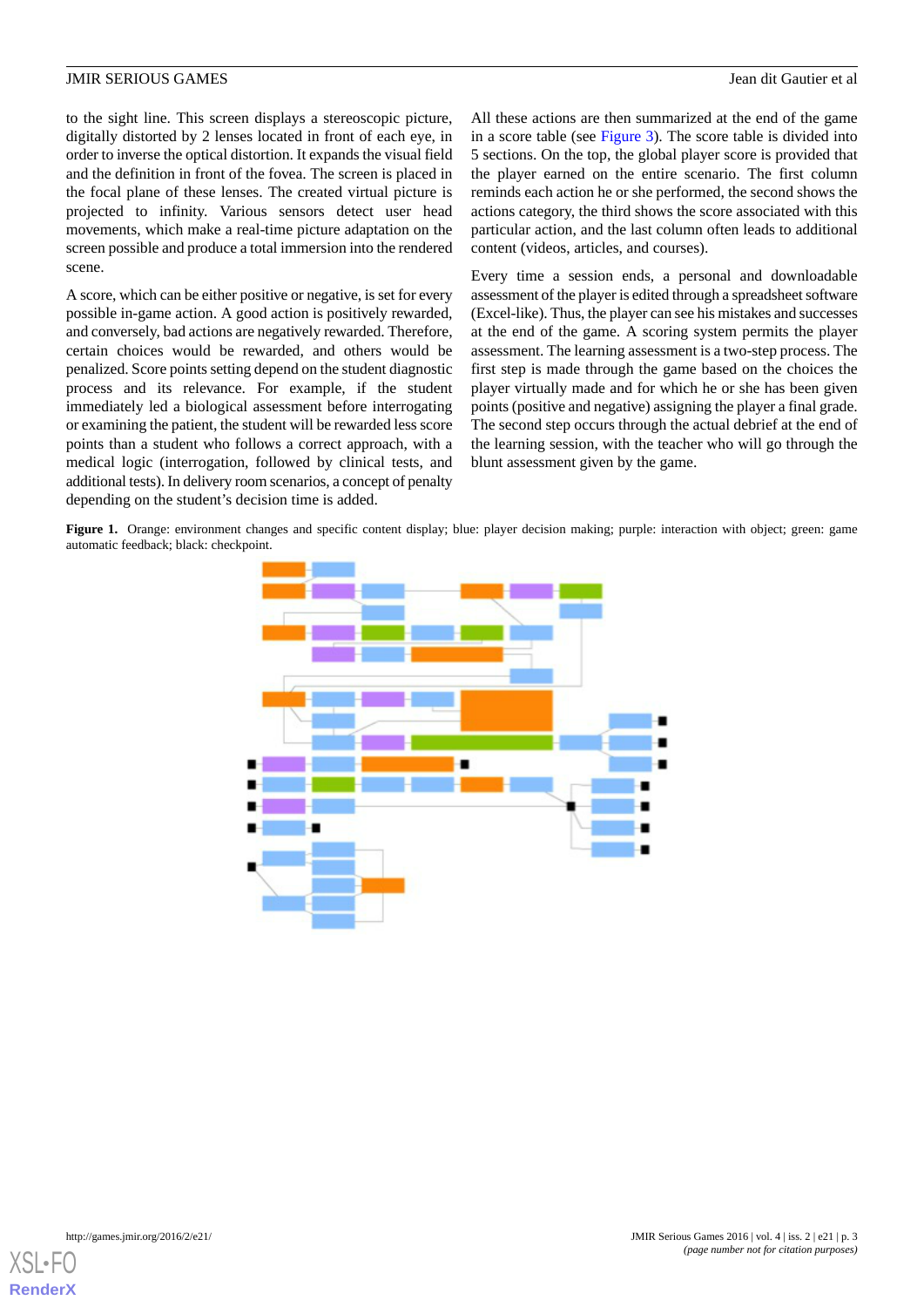to the sight line. This screen displays a stereoscopic picture, digitally distorted by 2 lenses located in front of each eye, in order to inverse the optical distortion. It expands the visual field and the definition in front of the fovea. The screen is placed in the focal plane of these lenses. The created virtual picture is projected to infinity. Various sensors detect user head movements, which make a real-time picture adaptation on the screen possible and produce a total immersion into the rendered scene.

A score, which can be either positive or negative, is set for every possible in-game action. A good action is positively rewarded, and conversely, bad actions are negatively rewarded. Therefore, certain choices would be rewarded, and others would be penalized. Score points setting depend on the student diagnostic process and its relevance. For example, if the student immediately led a biological assessment before interrogating or examining the patient, the student will be rewarded less score points than a student who follows a correct approach, with a medical logic (interrogation, followed by clinical tests, and additional tests). In delivery room scenarios, a concept of penalty depending on the student's decision time is added.

All these actions are then summarized at the end of the game in a score table (see [Figure 3](#page-3-1)). The score table is divided into 5 sections. On the top, the global player score is provided that the player earned on the entire scenario. The first column reminds each action he or she performed, the second shows the actions category, the third shows the score associated with this particular action, and the last column often leads to additional content (videos, articles, and courses).

Every time a session ends, a personal and downloadable assessment of the player is edited through a spreadsheet software (Excel-like). Thus, the player can see his mistakes and successes at the end of the game. A scoring system permits the player assessment. The learning assessment is a two-step process. The first step is made through the game based on the choices the player virtually made and for which he or she has been given points (positive and negative) assigning the player a final grade. The second step occurs through the actual debrief at the end of the learning session, with the teacher who will go through the blunt assessment given by the game.

<span id="page-2-0"></span>**Figure 1.** Orange: environment changes and specific content display; blue: player decision making; purple: interaction with object; green: game automatic feedback; black: checkpoint.



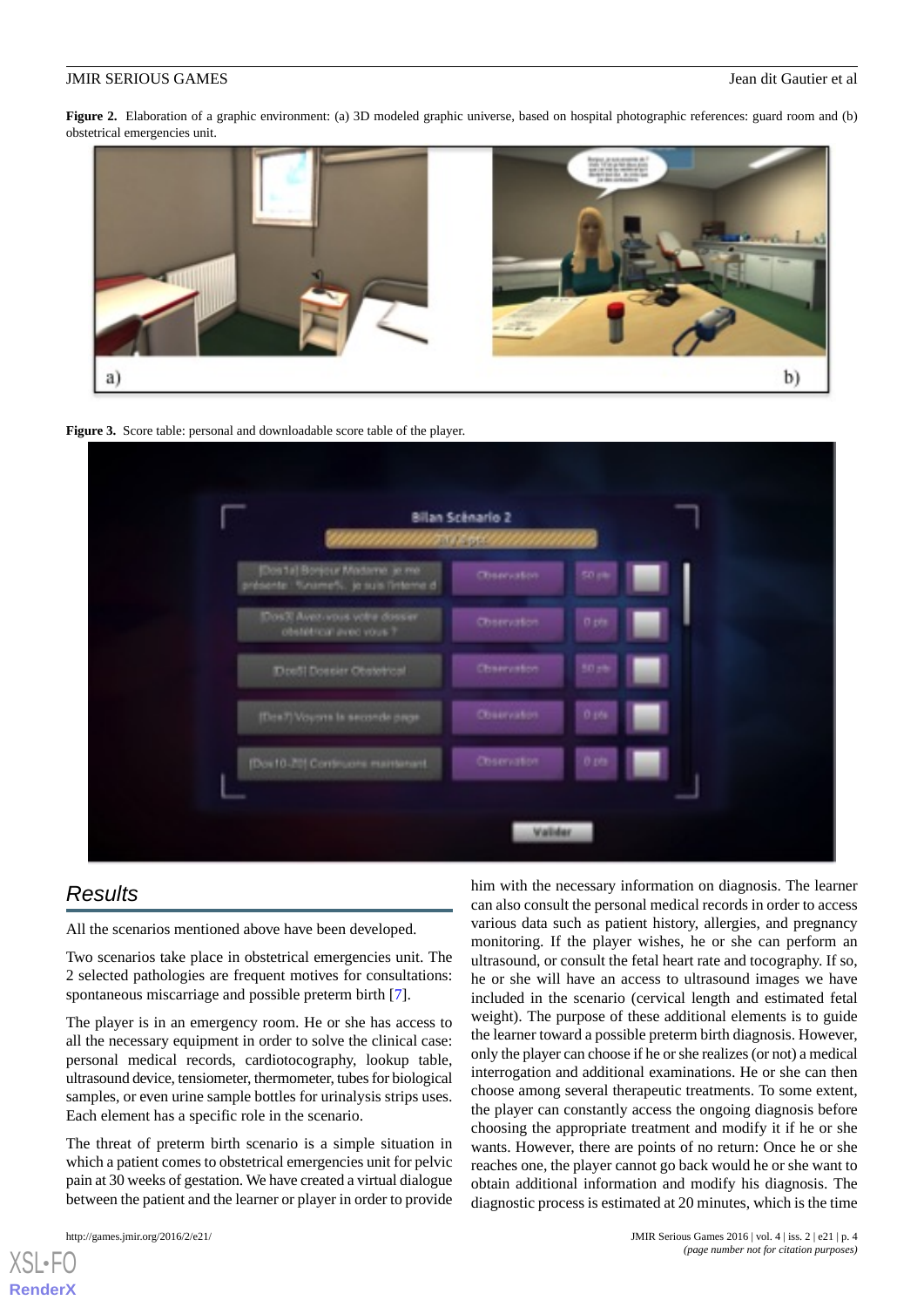<span id="page-3-0"></span>**Figure 2.** Elaboration of a graphic environment: (a) 3D modeled graphic universe, based on hospital photographic references: guard room and (b) obstetrical emergencies unit.



<span id="page-3-1"></span>



## *Results*

All the scenarios mentioned above have been developed.

Two scenarios take place in obstetrical emergencies unit. The 2 selected pathologies are frequent motives for consultations: spontaneous miscarriage and possible preterm birth [\[7](#page-5-6)].

The player is in an emergency room. He or she has access to all the necessary equipment in order to solve the clinical case: personal medical records, cardiotocography, lookup table, ultrasound device, tensiometer, thermometer, tubes for biological samples, or even urine sample bottles for urinalysis strips uses. Each element has a specific role in the scenario.

The threat of preterm birth scenario is a simple situation in which a patient comes to obstetrical emergencies unit for pelvic pain at 30 weeks of gestation. We have created a virtual dialogue between the patient and the learner or player in order to provide

[XSL](http://www.w3.org/Style/XSL)•FO **[RenderX](http://www.renderx.com/)**

him with the necessary information on diagnosis. The learner can also consult the personal medical records in order to access various data such as patient history, allergies, and pregnancy monitoring. If the player wishes, he or she can perform an ultrasound, or consult the fetal heart rate and tocography. If so, he or she will have an access to ultrasound images we have included in the scenario (cervical length and estimated fetal weight). The purpose of these additional elements is to guide the learner toward a possible preterm birth diagnosis. However, only the player can choose if he or she realizes (or not) a medical interrogation and additional examinations. He or she can then choose among several therapeutic treatments. To some extent, the player can constantly access the ongoing diagnosis before choosing the appropriate treatment and modify it if he or she wants. However, there are points of no return: Once he or she reaches one, the player cannot go back would he or she want to obtain additional information and modify his diagnosis. The diagnostic process is estimated at 20 minutes, which is the time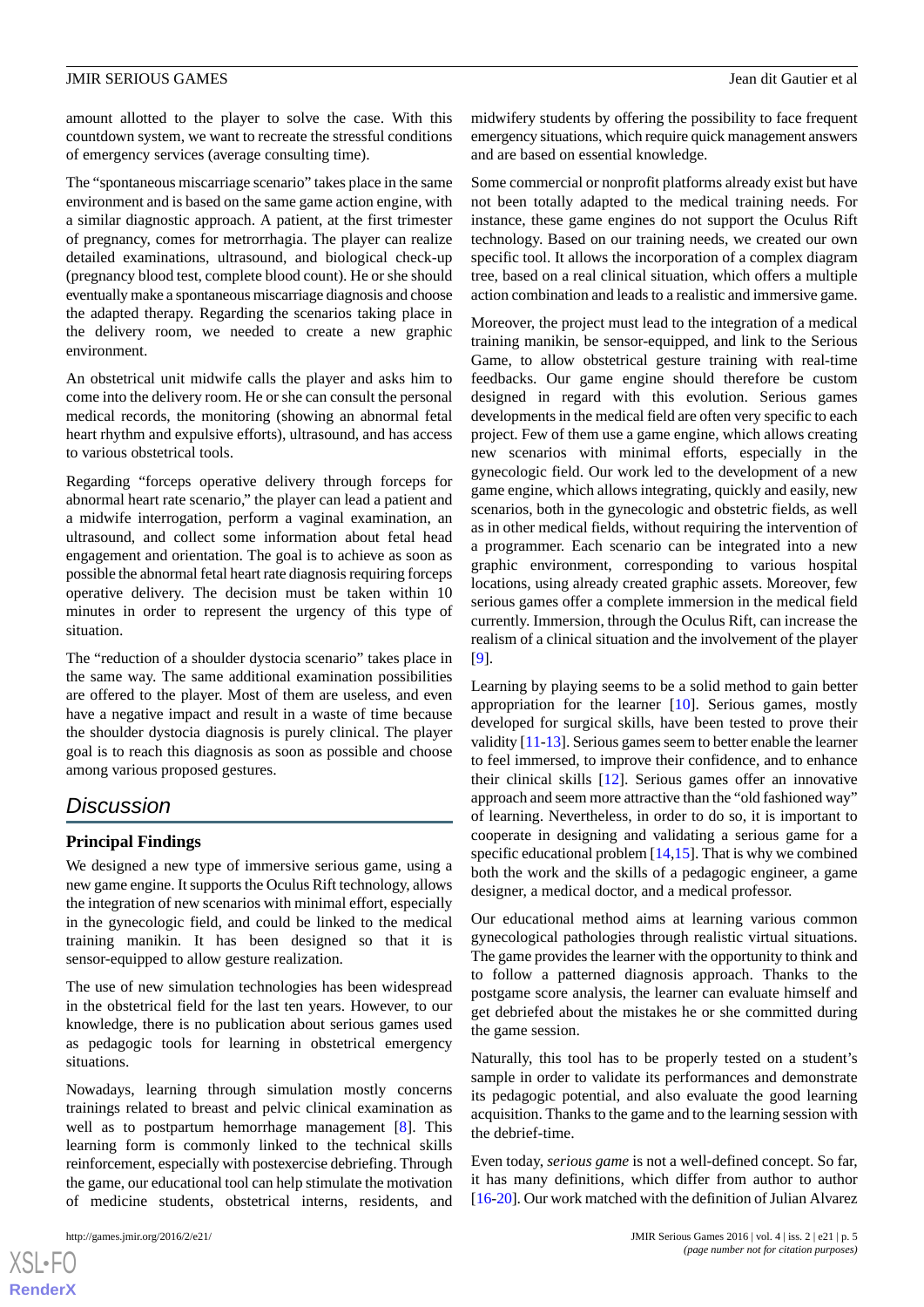amount allotted to the player to solve the case. With this countdown system, we want to recreate the stressful conditions of emergency services (average consulting time).

The "spontaneous miscarriage scenario" takes place in the same environment and is based on the same game action engine, with a similar diagnostic approach. A patient, at the first trimester of pregnancy, comes for metrorrhagia. The player can realize detailed examinations, ultrasound, and biological check-up (pregnancy blood test, complete blood count). He or she should eventually make a spontaneous miscarriage diagnosis and choose the adapted therapy. Regarding the scenarios taking place in the delivery room, we needed to create a new graphic environment.

An obstetrical unit midwife calls the player and asks him to come into the delivery room. He or she can consult the personal medical records, the monitoring (showing an abnormal fetal heart rhythm and expulsive efforts), ultrasound, and has access to various obstetrical tools.

Regarding "forceps operative delivery through forceps for abnormal heart rate scenario," the player can lead a patient and a midwife interrogation, perform a vaginal examination, an ultrasound, and collect some information about fetal head engagement and orientation. The goal is to achieve as soon as possible the abnormal fetal heart rate diagnosis requiring forceps operative delivery. The decision must be taken within 10 minutes in order to represent the urgency of this type of situation.

The "reduction of a shoulder dystocia scenario" takes place in the same way. The same additional examination possibilities are offered to the player. Most of them are useless, and even have a negative impact and result in a waste of time because the shoulder dystocia diagnosis is purely clinical. The player goal is to reach this diagnosis as soon as possible and choose among various proposed gestures.

## *Discussion*

#### **Principal Findings**

We designed a new type of immersive serious game, using a new game engine. It supports the Oculus Rift technology, allows the integration of new scenarios with minimal effort, especially in the gynecologic field, and could be linked to the medical training manikin. It has been designed so that it is sensor-equipped to allow gesture realization.

The use of new simulation technologies has been widespread in the obstetrical field for the last ten years. However, to our knowledge, there is no publication about serious games used as pedagogic tools for learning in obstetrical emergency situations.

Nowadays, learning through simulation mostly concerns trainings related to breast and pelvic clinical examination as well as to postpartum hemorrhage management [\[8](#page-5-7)]. This learning form is commonly linked to the technical skills reinforcement, especially with postexercise debriefing. Through the game, our educational tool can help stimulate the motivation of medicine students, obstetrical interns, residents, and

midwifery students by offering the possibility to face frequent emergency situations, which require quick management answers and are based on essential knowledge.

Some commercial or nonprofit platforms already exist but have not been totally adapted to the medical training needs. For instance, these game engines do not support the Oculus Rift technology. Based on our training needs, we created our own specific tool. It allows the incorporation of a complex diagram tree, based on a real clinical situation, which offers a multiple action combination and leads to a realistic and immersive game.

Moreover, the project must lead to the integration of a medical training manikin, be sensor-equipped, and link to the Serious Game, to allow obstetrical gesture training with real-time feedbacks. Our game engine should therefore be custom designed in regard with this evolution. Serious games developments in the medical field are often very specific to each project. Few of them use a game engine, which allows creating new scenarios with minimal efforts, especially in the gynecologic field. Our work led to the development of a new game engine, which allows integrating, quickly and easily, new scenarios, both in the gynecologic and obstetric fields, as well as in other medical fields, without requiring the intervention of a programmer. Each scenario can be integrated into a new graphic environment, corresponding to various hospital locations, using already created graphic assets. Moreover, few serious games offer a complete immersion in the medical field currently. Immersion, through the Oculus Rift, can increase the realism of a clinical situation and the involvement of the player [[9\]](#page-5-8).

Learning by playing seems to be a solid method to gain better appropriation for the learner [[10\]](#page-6-0). Serious games, mostly developed for surgical skills, have been tested to prove their validity [[11](#page-6-1)-[13\]](#page-6-2). Serious games seem to better enable the learner to feel immersed, to improve their confidence, and to enhance their clinical skills [\[12](#page-6-3)]. Serious games offer an innovative approach and seem more attractive than the "old fashioned way" of learning. Nevertheless, in order to do so, it is important to cooperate in designing and validating a serious game for a specific educational problem  $[14,15]$  $[14,15]$  $[14,15]$ . That is why we combined both the work and the skills of a pedagogic engineer, a game designer, a medical doctor, and a medical professor.

Our educational method aims at learning various common gynecological pathologies through realistic virtual situations. The game provides the learner with the opportunity to think and to follow a patterned diagnosis approach. Thanks to the postgame score analysis, the learner can evaluate himself and get debriefed about the mistakes he or she committed during the game session.

Naturally, this tool has to be properly tested on a student's sample in order to validate its performances and demonstrate its pedagogic potential, and also evaluate the good learning acquisition. Thanks to the game and to the learning session with the debrief-time.

Even today, *serious game* is not a well-defined concept. So far, it has many definitions, which differ from author to author [[16-](#page-6-6)[20\]](#page-6-7). Our work matched with the definition of Julian Alvarez

 $XS$  $\cdot$ FC **[RenderX](http://www.renderx.com/)**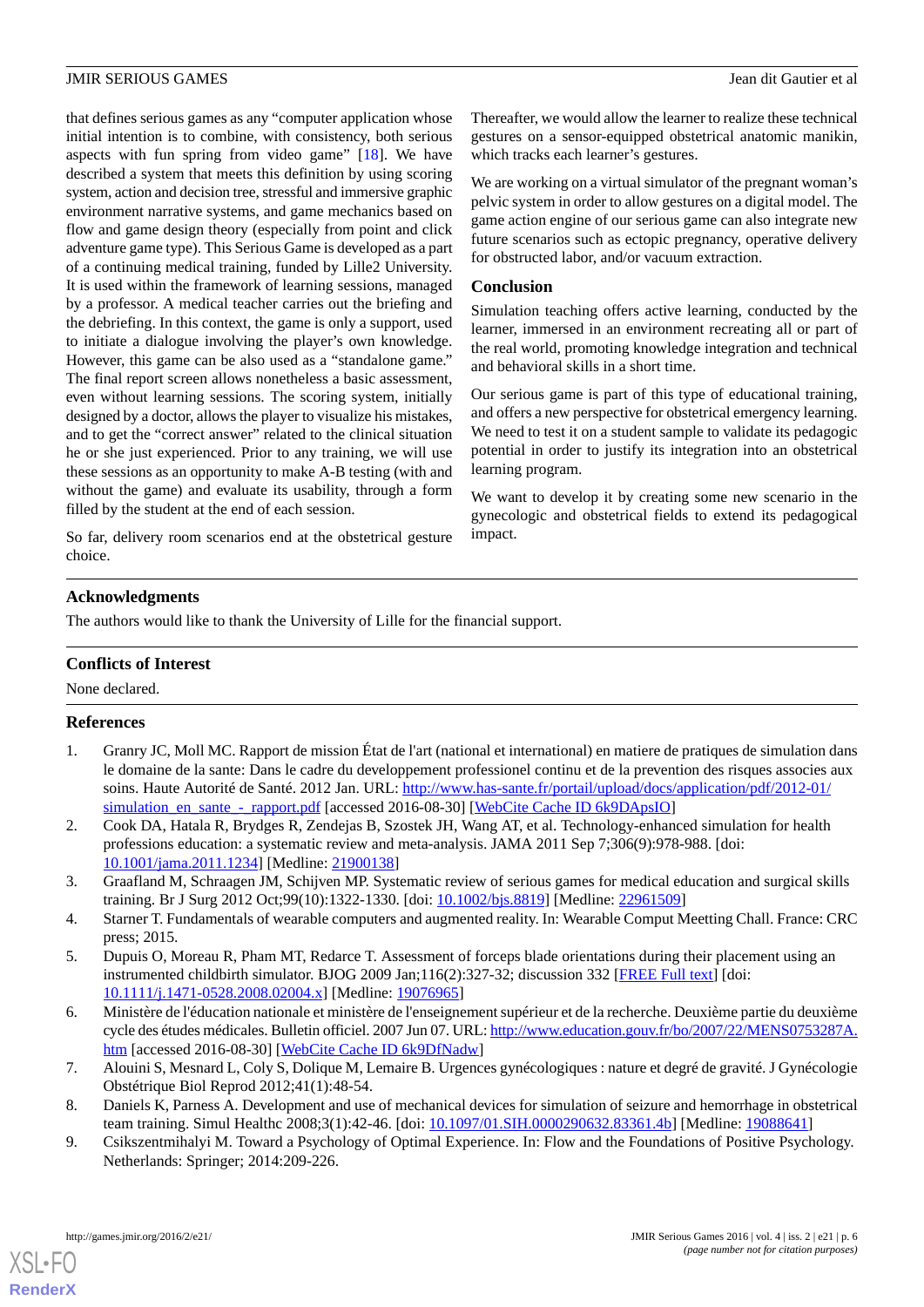that defines serious games as any "computer application whose initial intention is to combine, with consistency, both serious aspects with fun spring from video game" [\[18](#page-6-8)]. We have described a system that meets this definition by using scoring system, action and decision tree, stressful and immersive graphic environment narrative systems, and game mechanics based on flow and game design theory (especially from point and click adventure game type). This Serious Game is developed as a part of a continuing medical training, funded by Lille2 University. It is used within the framework of learning sessions, managed by a professor. A medical teacher carries out the briefing and the debriefing. In this context, the game is only a support, used to initiate a dialogue involving the player's own knowledge. However, this game can be also used as a "standalone game." The final report screen allows nonetheless a basic assessment, even without learning sessions. The scoring system, initially designed by a doctor, allows the player to visualize his mistakes, and to get the "correct answer" related to the clinical situation he or she just experienced. Prior to any training, we will use these sessions as an opportunity to make A-B testing (with and without the game) and evaluate its usability, through a form filled by the student at the end of each session.

So far, delivery room scenarios end at the obstetrical gesture choice.

Thereafter, we would allow the learner to realize these technical gestures on a sensor-equipped obstetrical anatomic manikin, which tracks each learner's gestures.

We are working on a virtual simulator of the pregnant woman's pelvic system in order to allow gestures on a digital model. The game action engine of our serious game can also integrate new future scenarios such as ectopic pregnancy, operative delivery for obstructed labor, and/or vacuum extraction.

#### **Conclusion**

Simulation teaching offers active learning, conducted by the learner, immersed in an environment recreating all or part of the real world, promoting knowledge integration and technical and behavioral skills in a short time.

Our serious game is part of this type of educational training, and offers a new perspective for obstetrical emergency learning. We need to test it on a student sample to validate its pedagogic potential in order to justify its integration into an obstetrical learning program.

We want to develop it by creating some new scenario in the gynecologic and obstetrical fields to extend its pedagogical impact.

#### **Acknowledgments**

The authors would like to thank the University of Lille for the financial support.

#### <span id="page-5-0"></span>**Conflicts of Interest**

None declared.

#### **References**

- <span id="page-5-1"></span>1. Granry JC, Moll MC. Rapport de mission État de l'art (national et international) en matiere de pratiques de simulation dans le domaine de la sante: Dans le cadre du developpement professionel continu et de la prevention des risques associes aux soins. Haute Autorité de Santé. 2012 Jan. URL: [http://www.has-sante.fr/portail/upload/docs/application/pdf/2012-01/](http://www.has-sante.fr/portail/upload/docs/application/pdf/2012-01/simulation_en_sante_-_rapport.pdf) simulation en sante - rapport.pdf [accessed 2016-08-30] [[WebCite Cache ID 6k9DApsIO](http://www.webcitation.org/

                                6k9DApsIO)]
- <span id="page-5-3"></span><span id="page-5-2"></span>2. Cook DA, Hatala R, Brydges R, Zendejas B, Szostek JH, Wang AT, et al. Technology-enhanced simulation for health professions education: a systematic review and meta-analysis. JAMA 2011 Sep 7;306(9):978-988. [doi: [10.1001/jama.2011.1234](http://dx.doi.org/10.1001/jama.2011.1234)] [Medline: [21900138](http://www.ncbi.nlm.nih.gov/entrez/query.fcgi?cmd=Retrieve&db=PubMed&list_uids=21900138&dopt=Abstract)]
- <span id="page-5-4"></span>3. Graafland M, Schraagen JM, Schijven MP. Systematic review of serious games for medical education and surgical skills training. Br J Surg 2012 Oct;99(10):1322-1330. [doi: [10.1002/bjs.8819](http://dx.doi.org/10.1002/bjs.8819)] [Medline: [22961509\]](http://www.ncbi.nlm.nih.gov/entrez/query.fcgi?cmd=Retrieve&db=PubMed&list_uids=22961509&dopt=Abstract)
- <span id="page-5-5"></span>4. Starner T. Fundamentals of wearable computers and augmented reality. In: Wearable Comput Meetting Chall. France: CRC press; 2015.
- <span id="page-5-6"></span>5. Dupuis O, Moreau R, Pham MT, Redarce T. Assessment of forceps blade orientations during their placement using an instrumented childbirth simulator. BJOG 2009 Jan;116(2):327-32; discussion 332 [\[FREE Full text](http://dx.doi.org/10.1111/j.1471-0528.2008.02004.x)] [doi: [10.1111/j.1471-0528.2008.02004.x\]](http://dx.doi.org/10.1111/j.1471-0528.2008.02004.x) [Medline: [19076965\]](http://www.ncbi.nlm.nih.gov/entrez/query.fcgi?cmd=Retrieve&db=PubMed&list_uids=19076965&dopt=Abstract)
- <span id="page-5-8"></span><span id="page-5-7"></span>6. Ministère de l'éducation nationale et ministère de l'enseignement supérieur et de la recherche. Deuxième partie du deuxième cycle des études médicales. Bulletin officiel. 2007 Jun 07. URL: [http://www.education.gouv.fr/bo/2007/22/MENS0753287A.](http://www.education.gouv.fr/bo/2007/22/MENS0753287A.htm) [htm](http://www.education.gouv.fr/bo/2007/22/MENS0753287A.htm) [accessed 2016-08-30] [\[WebCite Cache ID 6k9DfNadw](http://www.webcitation.org/

                                6k9DfNadw)]
- 7. Alouini S, Mesnard L, Coly S, Dolique M, Lemaire B. Urgences gynécologiques : nature et degré de gravité. J Gynécologie Obstétrique Biol Reprod 2012;41(1):48-54.
- 8. Daniels K, Parness A. Development and use of mechanical devices for simulation of seizure and hemorrhage in obstetrical team training. Simul Healthc 2008;3(1):42-46. [doi: [10.1097/01.SIH.0000290632.83361.4b\]](http://dx.doi.org/10.1097/01.SIH.0000290632.83361.4b) [Medline: [19088641\]](http://www.ncbi.nlm.nih.gov/entrez/query.fcgi?cmd=Retrieve&db=PubMed&list_uids=19088641&dopt=Abstract)
- 9. Csikszentmihalyi M. Toward a Psychology of Optimal Experience. In: Flow and the Foundations of Positive Psychology. Netherlands: Springer; 2014:209-226.

[XSL](http://www.w3.org/Style/XSL)•FO **[RenderX](http://www.renderx.com/)**